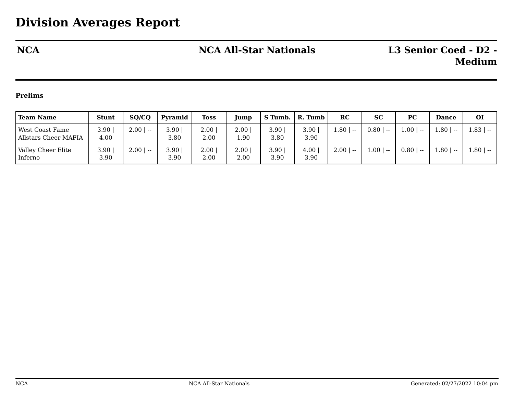## **NCA NCA All-Star Nationals L3 Senior Coed - D2 -**

## **Prelims**

| <b>Team Name</b>                                      | <b>Stunt</b>   | SQ/CQ         | Pyramid      | <b>Toss</b>      | <b>Jump</b>  | $S$ Tumb.    | R. Tumb          | RC            | <b>SC</b>         | PC              | <b>Dance</b>      | <b>OI</b>     |
|-------------------------------------------------------|----------------|---------------|--------------|------------------|--------------|--------------|------------------|---------------|-------------------|-----------------|-------------------|---------------|
| <b>West Coast Fame</b><br><b>Allstars Cheer MAFIA</b> | 3.90  <br>4.00 | $2.00$   --   | 3.90<br>3.80 | 2.00<br>2.00     | 2.00<br>1.90 | 3.90<br>3.80 | 3.90<br>3.90     | 1.80  <br>$-$ | $0.80$   --       | ا 1.00<br>$- -$ | $1.80 +$<br>$- -$ | $1.83$   --   |
| Valley Cheer Elite<br>Inferno                         | 3.90<br>3.90   | 2.00<br>$- -$ | 3.90<br>3.90 | $2.00\,$<br>2.00 | 2.00<br>2.00 | 3.90<br>3.90 | $4.00\,$<br>3.90 | 2.00<br>$- -$ | 1.00 <sub>1</sub> | 0.80<br>$- -$   | $1.80 +$<br>$- -$ | $-1.80$   $-$ |